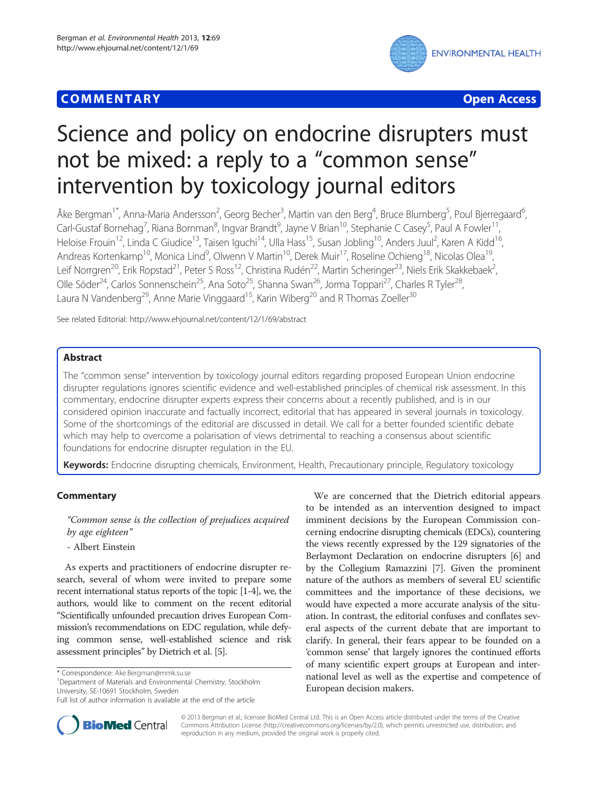## **COMMENTARY COMMENTARY Open Access**



# Science and policy on endocrine disrupters must not be mixed: a reply to a "common sense" intervention by toxicology journal editors

Åke Bergman<sup>1\*</sup>, Anna-Maria Andersson<sup>2</sup>, Georg Becher<sup>3</sup>, Martin van den Berg<sup>4</sup>, Bruce Blumberg<sup>5</sup>, Poul Bjerregaard<sup>6</sup> י<br>, Carl-Gustaf Bornehag<sup>7</sup>, Riana Bornman<sup>8</sup>, Ingvar Brandt<sup>9</sup>, Jayne V Brian<sup>10</sup>, Stephanie C Casey<sup>5</sup>, Paul A Fowler<sup>11</sup>, Heloise Frouin<sup>12</sup>, Linda C Giudice<sup>13</sup>, Taisen Iguchi<sup>14</sup>, Ulla Hass<sup>15</sup>, Susan Jobling<sup>10</sup>, Anders Juul<sup>2</sup>, Karen A Kidd<sup>16</sup>, Andreas Kortenkamp<sup>10</sup>, Monica Lind<sup>9</sup>, Olwenn V Martin<sup>10</sup>, Derek Muir<sup>17</sup>, Roseline Ochieng<sup>18</sup>, Nicolas Olea<sup>19</sup>, Leif Norrgren<sup>20</sup>, Erik Ropstad<sup>21</sup>, Peter S Ross<sup>12</sup>, Christina Rudén<sup>22</sup>, Martin Scheringer<sup>23</sup>, Niels Erik Skakkebaek<sup>2</sup>, .<br>, Olle Söder<sup>24</sup>, Carlos Sonnenschein<sup>25</sup>, Ana Soto<sup>25</sup>, Shanna Swan<sup>26</sup>, Jorma Toppari<sup>27</sup>, Charles R Tyler<sup>28</sup>, Laura N Vandenberg<sup>29</sup>, Anne Marie Vinggaard<sup>15</sup>, Karin Wiberg<sup>20</sup> and R Thomas Zoeller<sup>30</sup>

See related Editorial: http://www.ehjournal.net/content/12/1/69/abstract

## Abstract

The "common sense" intervention by toxicology journal editors regarding proposed European Union endocrine disrupter regulations ignores scientific evidence and well-established principles of chemical risk assessment. In this commentary, endocrine disrupter experts express their concerns about a recently published, and is in our considered opinion inaccurate and factually incorrect, editorial that has appeared in several journals in toxicology. Some of the shortcomings of the editorial are discussed in detail. We call for a better founded scientific debate which may help to overcome a polarisation of views detrimental to reaching a consensus about scientific foundations for endocrine disrupter regulation in the EU.

Keywords: Endocrine disrupting chemicals, Environment, Health, Precautionary principle, Regulatory toxicology

## **Commentary**

"Common sense is the collection of prejudices acquired by age eighteen"

- Albert Einstein

As experts and practitioners of endocrine disrupter research, several of whom were invited to prepare some recent international status reports of the topic [\[1-4\]](#page-3-0), we, the authors, would like to comment on the recent editorial "Scientifically unfounded precaution drives European Commission's recommendations on EDC regulation, while defying common sense, well-established science and risk assessment principles" by Dietrich et al. [[5](#page-3-0)].

\* Correspondence: [Ake.Bergman@mmk.su.se](mailto:Ake.Bergman@mmk.su.se) <sup>1</sup>

<sup>1</sup>Department of Materials and Environmental Chemistry, Stockholm University, SE-10691 Stockholm, Sweden

We are concerned that the Dietrich editorial appears to be intended as an intervention designed to impact imminent decisions by the European Commission concerning endocrine disrupting chemicals (EDCs), countering the views recently expressed by the 129 signatories of the Berlaymont Declaration on endocrine disrupters [[6](#page-3-0)] and by the Collegium Ramazzini [[7\]](#page-3-0). Given the prominent nature of the authors as members of several EU scientific committees and the importance of these decisions, we would have expected a more accurate analysis of the situation. In contrast, the editorial confuses and conflates several aspects of the current debate that are important to clarify. In general, their fears appear to be founded on a 'common sense' that largely ignores the continued efforts of many scientific expert groups at European and international level as well as the expertise and competence of European decision makers.



© 2013 Bergman et al.; licensee BioMed Central Ltd. This is an Open Access article distributed under the terms of the Creative Commons Attribution License [\(http://creativecommons.org/licenses/by/2.0\)](http://creativecommons.org/licenses/by/2.0), which permits unrestricted use, distribution, and reproduction in any medium, provided the original work is properly cited.

Full list of author information is available at the end of the article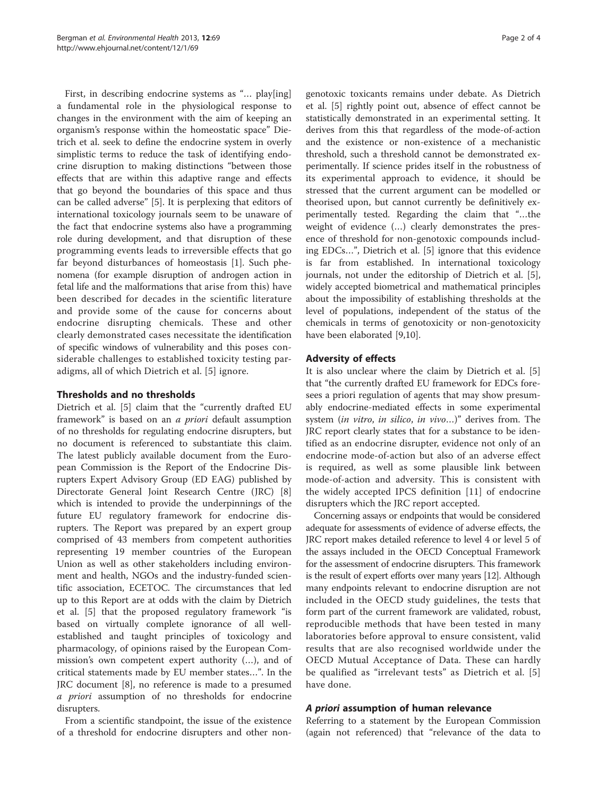First, in describing endocrine systems as "... play[ing] a fundamental role in the physiological response to changes in the environment with the aim of keeping an organism's response within the homeostatic space" Dietrich et al. seek to define the endocrine system in overly simplistic terms to reduce the task of identifying endocrine disruption to making distinctions "between those effects that are within this adaptive range and effects that go beyond the boundaries of this space and thus can be called adverse" [[5\]](#page-3-0). It is perplexing that editors of international toxicology journals seem to be unaware of the fact that endocrine systems also have a programming role during development, and that disruption of these programming events leads to irreversible effects that go far beyond disturbances of homeostasis [\[1](#page-3-0)]. Such phenomena (for example disruption of androgen action in fetal life and the malformations that arise from this) have been described for decades in the scientific literature and provide some of the cause for concerns about endocrine disrupting chemicals. These and other clearly demonstrated cases necessitate the identification of specific windows of vulnerability and this poses considerable challenges to established toxicity testing paradigms, all of which Dietrich et al. [\[5](#page-3-0)] ignore.

## Thresholds and no thresholds

Dietrich et al. [[5\]](#page-3-0) claim that the "currently drafted EU framework" is based on an a priori default assumption of no thresholds for regulating endocrine disrupters, but no document is referenced to substantiate this claim. The latest publicly available document from the European Commission is the Report of the Endocrine Disrupters Expert Advisory Group (ED EAG) published by Directorate General Joint Research Centre (JRC) [\[8](#page-3-0)] which is intended to provide the underpinnings of the future EU regulatory framework for endocrine disrupters. The Report was prepared by an expert group comprised of 43 members from competent authorities representing 19 member countries of the European Union as well as other stakeholders including environment and health, NGOs and the industry-funded scientific association, ECETOC. The circumstances that led up to this Report are at odds with the claim by Dietrich et al. [\[5](#page-3-0)] that the proposed regulatory framework "is based on virtually complete ignorance of all wellestablished and taught principles of toxicology and pharmacology, of opinions raised by the European Commission's own competent expert authority (…), and of critical statements made by EU member states…". In the JRC document [\[8](#page-3-0)], no reference is made to a presumed a priori assumption of no thresholds for endocrine disrupters.

From a scientific standpoint, the issue of the existence of a threshold for endocrine disrupters and other non-

genotoxic toxicants remains under debate. As Dietrich et al. [\[5](#page-3-0)] rightly point out, absence of effect cannot be statistically demonstrated in an experimental setting. It derives from this that regardless of the mode-of-action and the existence or non-existence of a mechanistic threshold, such a threshold cannot be demonstrated experimentally. If science prides itself in the robustness of its experimental approach to evidence, it should be stressed that the current argument can be modelled or theorised upon, but cannot currently be definitively experimentally tested. Regarding the claim that "…the weight of evidence (…) clearly demonstrates the presence of threshold for non-genotoxic compounds including EDCs…", Dietrich et al. [[5\]](#page-3-0) ignore that this evidence is far from established. In international toxicology journals, not under the editorship of Dietrich et al. [\[5](#page-3-0)], widely accepted biometrical and mathematical principles about the impossibility of establishing thresholds at the level of populations, independent of the status of the chemicals in terms of genotoxicity or non-genotoxicity have been elaborated [[9,10\]](#page-3-0).

## Adversity of effects

It is also unclear where the claim by Dietrich et al. [\[5](#page-3-0)] that "the currently drafted EU framework for EDCs foresees a priori regulation of agents that may show presumably endocrine-mediated effects in some experimental system (in vitro, in silico, in vivo...)" derives from. The JRC report clearly states that for a substance to be identified as an endocrine disrupter, evidence not only of an endocrine mode-of-action but also of an adverse effect is required, as well as some plausible link between mode-of-action and adversity. This is consistent with the widely accepted IPCS definition [\[11](#page-3-0)] of endocrine disrupters which the JRC report accepted.

Concerning assays or endpoints that would be considered adequate for assessments of evidence of adverse effects, the JRC report makes detailed reference to level 4 or level 5 of the assays included in the OECD Conceptual Framework for the assessment of endocrine disrupters. This framework is the result of expert efforts over many years [\[12](#page-3-0)]. Although many endpoints relevant to endocrine disruption are not included in the OECD study guidelines, the tests that form part of the current framework are validated, robust, reproducible methods that have been tested in many laboratories before approval to ensure consistent, valid results that are also recognised worldwide under the OECD Mutual Acceptance of Data. These can hardly be qualified as "irrelevant tests" as Dietrich et al. [\[5](#page-3-0)] have done.

## A priori assumption of human relevance

Referring to a statement by the European Commission (again not referenced) that "relevance of the data to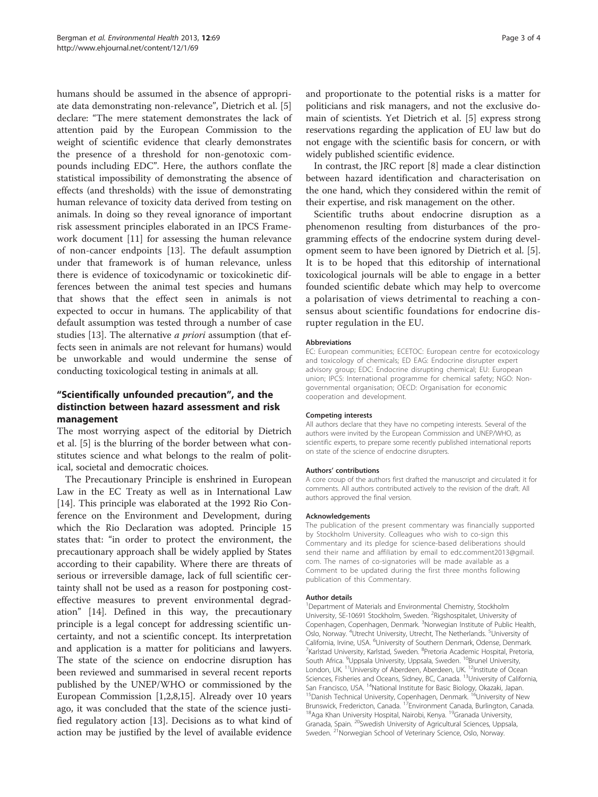humans should be assumed in the absence of appropriate data demonstrating non-relevance", Dietrich et al. [\[5](#page-3-0)] declare: "The mere statement demonstrates the lack of attention paid by the European Commission to the weight of scientific evidence that clearly demonstrates the presence of a threshold for non-genotoxic compounds including EDC". Here, the authors conflate the statistical impossibility of demonstrating the absence of effects (and thresholds) with the issue of demonstrating human relevance of toxicity data derived from testing on animals. In doing so they reveal ignorance of important risk assessment principles elaborated in an IPCS Framework document [[11](#page-3-0)] for assessing the human relevance of non-cancer endpoints [\[13](#page-3-0)]. The default assumption under that framework is of human relevance, unless there is evidence of toxicodynamic or toxicokinetic differences between the animal test species and humans that shows that the effect seen in animals is not expected to occur in humans. The applicability of that default assumption was tested through a number of case studies [[13\]](#page-3-0). The alternative *a priori* assumption (that effects seen in animals are not relevant for humans) would be unworkable and would undermine the sense of conducting toxicological testing in animals at all.

## "Scientifically unfounded precaution", and the distinction between hazard assessment and risk management

The most worrying aspect of the editorial by Dietrich et al. [[5\]](#page-3-0) is the blurring of the border between what constitutes science and what belongs to the realm of political, societal and democratic choices.

The Precautionary Principle is enshrined in European Law in the EC Treaty as well as in International Law [[14\]](#page-3-0). This principle was elaborated at the 1992 Rio Conference on the Environment and Development, during which the Rio Declaration was adopted. Principle 15 states that: "in order to protect the environment, the precautionary approach shall be widely applied by States according to their capability. Where there are threats of serious or irreversible damage, lack of full scientific certainty shall not be used as a reason for postponing costeffective measures to prevent environmental degradation" [\[14\]](#page-3-0). Defined in this way, the precautionary principle is a legal concept for addressing scientific uncertainty, and not a scientific concept. Its interpretation and application is a matter for politicians and lawyers. The state of the science on endocrine disruption has been reviewed and summarised in several recent reports published by the UNEP/WHO or commissioned by the European Commission [\[1,2,8,15](#page-3-0)]. Already over 10 years ago, it was concluded that the state of the science justified regulatory action [\[13\]](#page-3-0). Decisions as to what kind of action may be justified by the level of available evidence

and proportionate to the potential risks is a matter for politicians and risk managers, and not the exclusive domain of scientists. Yet Dietrich et al. [[5\]](#page-3-0) express strong reservations regarding the application of EU law but do not engage with the scientific basis for concern, or with widely published scientific evidence.

In contrast, the JRC report [\[8\]](#page-3-0) made a clear distinction between hazard identification and characterisation on the one hand, which they considered within the remit of their expertise, and risk management on the other.

Scientific truths about endocrine disruption as a phenomenon resulting from disturbances of the programming effects of the endocrine system during development seem to have been ignored by Dietrich et al. [\[5](#page-3-0)]. It is to be hoped that this editorship of international toxicological journals will be able to engage in a better founded scientific debate which may help to overcome a polarisation of views detrimental to reaching a consensus about scientific foundations for endocrine disrupter regulation in the EU.

#### Abbreviations

EC: European communities; ECETOC: European centre for ecotoxicology and toxicology of chemicals; ED EAG: Endocrine disrupter expert advisory group; EDC: Endocrine disrupting chemical; EU: European union; IPCS: International programme for chemical safety; NGO: Nongovernmental organisation; OECD: Organisation for economic cooperation and development.

#### Competing interests

All authors declare that they have no competing interests. Several of the authors were invited by the European Commission and UNEP/WHO, as scientific experts, to prepare some recently published international reports on state of the science of endocrine disrupters.

#### Authors' contributions

A core croup of the authors first drafted the manuscript and circulated it for comments. All authors contributed actively to the revision of the draft. All authors approved the final version.

#### Acknowledgements

The publication of the present commentary was financially supported by Stockholm University. Colleagues who wish to co-sign this Commentary and its pledge for science-based deliberations should send their name and affiliation by email to edc.comment2013@gmail. com. The names of co-signatories will be made available as a Comment to be updated during the first three months following publication of this Commentary.

#### Author details

<sup>1</sup>Department of Materials and Environmental Chemistry, Stockholm University, SE-10691 Stockholm, Sweden. <sup>2</sup>Rigshospitalet, University of Copenhagen, Copenhagen, Denmark. <sup>3</sup>Norwegian Institute of Public Health Oslo, Norway. <sup>4</sup>Utrecht University, Utrecht, The Netherlands. <sup>5</sup>University of California, Irvine, USA. <sup>6</sup>University of Southern Denmark, Odense, Denmark<br><sup>7</sup>Karlstad University Karlstad, Sweden, <sup>8</sup>Protoria Academic Hospital, Protoria Karlstad University, Karlstad, Sweden. <sup>8</sup>Pretoria Academic Hospital, Pretoria, South Africa. <sup>9</sup>Uppsala University, Uppsala, Sweden. <sup>10</sup>Brunel University, London, UK. <sup>11</sup>University of Aberdeen, Aberdeen, UK. <sup>12</sup>Institute of Ocean Sciences, Fisheries and Oceans, Sidney, BC, Canada. <sup>13</sup>University of California, San Francisco, USA. <sup>14</sup>National Institute for Basic Biology, Okazaki, Japan.<br><sup>15</sup>Danish Technical University, Copenhagen, Denmark. <sup>16</sup>University of New Brunswick, Fredericton, Canada. <sup>17</sup>Environment Canada, Burlington, Canada.<br><sup>18</sup>Aga Khan University Hospital, Nairobi, Kenya. <sup>19</sup>Granada University, <sup>18</sup>Aga Khan University Hospital, Nairobi, Kenya. <sup>19</sup>Granada University,<br>Granada, Spain. <sup>20</sup>Swedish University of Agricultural Sciences, Uppsala, Sweden. <sup>21</sup>Norwegian School of Veterinary Science, Oslo, Norway.